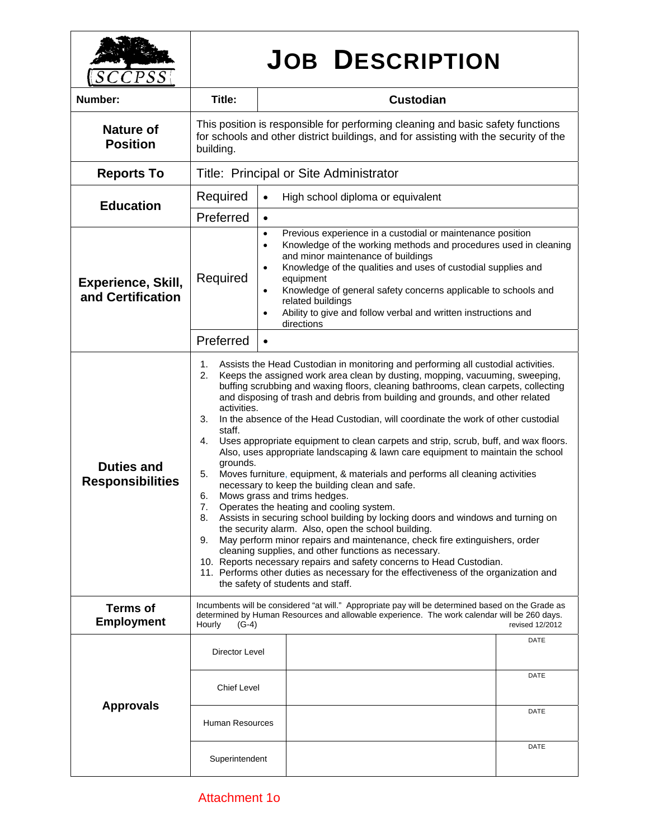| $\overline{\mathit{CC}PSS}$                  | <b>JOB DESCRIPTION</b>                                                                                                                                                                                                                                                                                                                                                                                                                                                                                                                                                                                                                                                                                                                                                                                                                                                                                                                                                                                                                                                                                                                                                                                                                                                                                                                                                                                 |                                                                                                                                                                                                                                                                                                                                                                                                                           |             |
|----------------------------------------------|--------------------------------------------------------------------------------------------------------------------------------------------------------------------------------------------------------------------------------------------------------------------------------------------------------------------------------------------------------------------------------------------------------------------------------------------------------------------------------------------------------------------------------------------------------------------------------------------------------------------------------------------------------------------------------------------------------------------------------------------------------------------------------------------------------------------------------------------------------------------------------------------------------------------------------------------------------------------------------------------------------------------------------------------------------------------------------------------------------------------------------------------------------------------------------------------------------------------------------------------------------------------------------------------------------------------------------------------------------------------------------------------------------|---------------------------------------------------------------------------------------------------------------------------------------------------------------------------------------------------------------------------------------------------------------------------------------------------------------------------------------------------------------------------------------------------------------------------|-------------|
| Number:                                      | Title:                                                                                                                                                                                                                                                                                                                                                                                                                                                                                                                                                                                                                                                                                                                                                                                                                                                                                                                                                                                                                                                                                                                                                                                                                                                                                                                                                                                                 | <b>Custodian</b>                                                                                                                                                                                                                                                                                                                                                                                                          |             |
| <b>Nature of</b><br><b>Position</b>          | This position is responsible for performing cleaning and basic safety functions<br>for schools and other district buildings, and for assisting with the security of the<br>building.                                                                                                                                                                                                                                                                                                                                                                                                                                                                                                                                                                                                                                                                                                                                                                                                                                                                                                                                                                                                                                                                                                                                                                                                                   |                                                                                                                                                                                                                                                                                                                                                                                                                           |             |
| <b>Reports To</b>                            | Title: Principal or Site Administrator                                                                                                                                                                                                                                                                                                                                                                                                                                                                                                                                                                                                                                                                                                                                                                                                                                                                                                                                                                                                                                                                                                                                                                                                                                                                                                                                                                 |                                                                                                                                                                                                                                                                                                                                                                                                                           |             |
| <b>Education</b>                             | Required                                                                                                                                                                                                                                                                                                                                                                                                                                                                                                                                                                                                                                                                                                                                                                                                                                                                                                                                                                                                                                                                                                                                                                                                                                                                                                                                                                                               | High school diploma or equivalent<br>$\bullet$                                                                                                                                                                                                                                                                                                                                                                            |             |
|                                              | Preferred                                                                                                                                                                                                                                                                                                                                                                                                                                                                                                                                                                                                                                                                                                                                                                                                                                                                                                                                                                                                                                                                                                                                                                                                                                                                                                                                                                                              | $\bullet$                                                                                                                                                                                                                                                                                                                                                                                                                 |             |
| Experience, Skill,<br>and Certification      | $\bullet$<br>$\bullet$<br>$\bullet$<br>Required<br>$\bullet$<br>$\bullet$                                                                                                                                                                                                                                                                                                                                                                                                                                                                                                                                                                                                                                                                                                                                                                                                                                                                                                                                                                                                                                                                                                                                                                                                                                                                                                                              | Previous experience in a custodial or maintenance position<br>Knowledge of the working methods and procedures used in cleaning<br>and minor maintenance of buildings<br>Knowledge of the qualities and uses of custodial supplies and<br>equipment<br>Knowledge of general safety concerns applicable to schools and<br>related buildings<br>Ability to give and follow verbal and written instructions and<br>directions |             |
|                                              | Preferred                                                                                                                                                                                                                                                                                                                                                                                                                                                                                                                                                                                                                                                                                                                                                                                                                                                                                                                                                                                                                                                                                                                                                                                                                                                                                                                                                                                              |                                                                                                                                                                                                                                                                                                                                                                                                                           |             |
| <b>Duties and</b><br><b>Responsibilities</b> | 1.<br>Assists the Head Custodian in monitoring and performing all custodial activities.<br>2.<br>Keeps the assigned work area clean by dusting, mopping, vacuuming, sweeping,<br>buffing scrubbing and waxing floors, cleaning bathrooms, clean carpets, collecting<br>and disposing of trash and debris from building and grounds, and other related<br>activities.<br>3.<br>In the absence of the Head Custodian, will coordinate the work of other custodial<br>staff.<br>Uses appropriate equipment to clean carpets and strip, scrub, buff, and wax floors.<br>4.<br>Also, uses appropriate landscaping & lawn care equipment to maintain the school<br>arounds.<br>Moves furniture, equipment, & materials and performs all cleaning activities<br>5.<br>necessary to keep the building clean and safe.<br>Mows grass and trims hedges.<br>6.<br>7.<br>Operates the heating and cooling system.<br>Assists in securing school building by locking doors and windows and turning on<br>8.<br>the security alarm. Also, open the school building.<br>May perform minor repairs and maintenance, check fire extinguishers, order<br>9.<br>cleaning supplies, and other functions as necessary.<br>10. Reports necessary repairs and safety concerns to Head Custodian.<br>11. Performs other duties as necessary for the effectiveness of the organization and<br>the safety of students and staff. |                                                                                                                                                                                                                                                                                                                                                                                                                           |             |
| <b>Terms of</b><br><b>Employment</b>         | Incumbents will be considered "at will." Appropriate pay will be determined based on the Grade as<br>determined by Human Resources and allowable experience. The work calendar will be 260 days.<br>Hourly<br>$(G-4)$<br>revised 12/2012                                                                                                                                                                                                                                                                                                                                                                                                                                                                                                                                                                                                                                                                                                                                                                                                                                                                                                                                                                                                                                                                                                                                                               |                                                                                                                                                                                                                                                                                                                                                                                                                           |             |
| <b>Approvals</b>                             | Director Level                                                                                                                                                                                                                                                                                                                                                                                                                                                                                                                                                                                                                                                                                                                                                                                                                                                                                                                                                                                                                                                                                                                                                                                                                                                                                                                                                                                         |                                                                                                                                                                                                                                                                                                                                                                                                                           | <b>DATE</b> |
|                                              | <b>Chief Level</b>                                                                                                                                                                                                                                                                                                                                                                                                                                                                                                                                                                                                                                                                                                                                                                                                                                                                                                                                                                                                                                                                                                                                                                                                                                                                                                                                                                                     |                                                                                                                                                                                                                                                                                                                                                                                                                           | DATE        |
|                                              | <b>Human Resources</b>                                                                                                                                                                                                                                                                                                                                                                                                                                                                                                                                                                                                                                                                                                                                                                                                                                                                                                                                                                                                                                                                                                                                                                                                                                                                                                                                                                                 |                                                                                                                                                                                                                                                                                                                                                                                                                           | DATE        |
|                                              | Superintendent                                                                                                                                                                                                                                                                                                                                                                                                                                                                                                                                                                                                                                                                                                                                                                                                                                                                                                                                                                                                                                                                                                                                                                                                                                                                                                                                                                                         |                                                                                                                                                                                                                                                                                                                                                                                                                           | DATE        |

I

 $\Gamma$